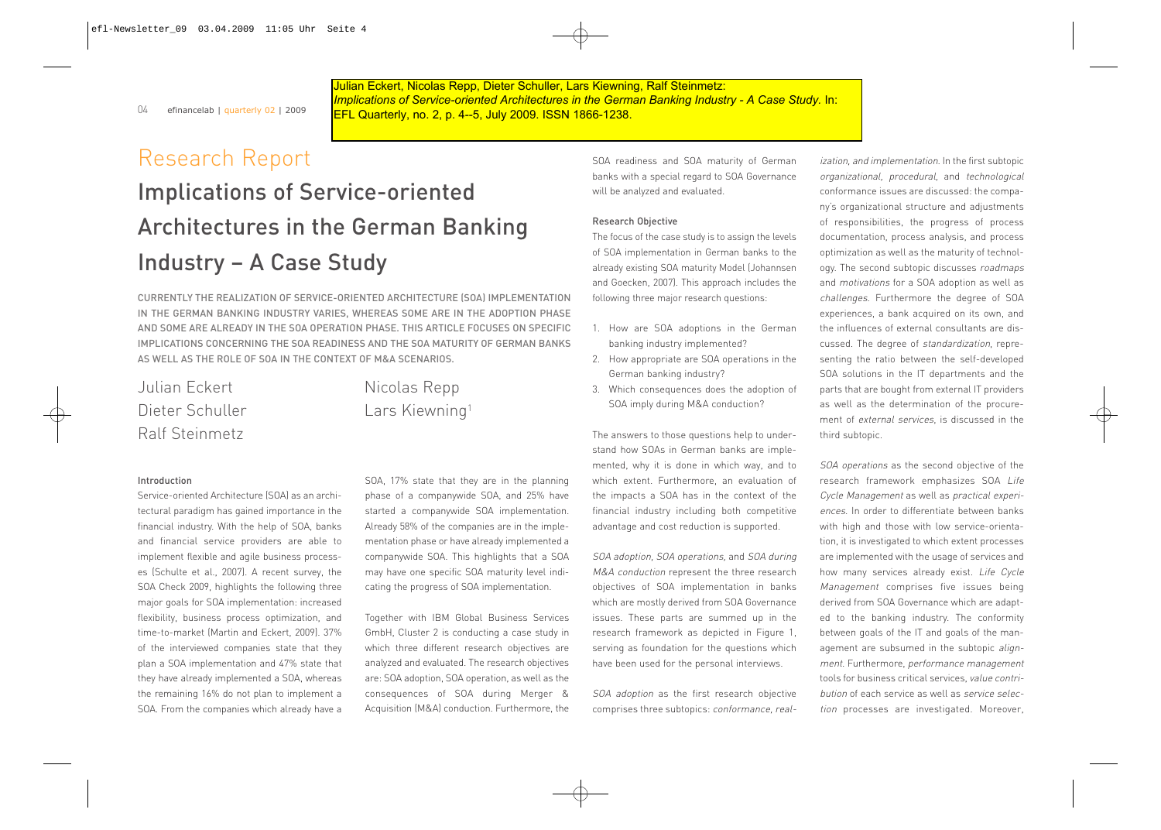Julian Eckert, Nicolas Repp, Dieter Schuller, Lars Kiewning, Ralf Steinmetz: *Implications of Service-oriented Architectures in the German Banking Industry - A Case Study.* In: EFL Quarterly, no. 2, p. 4--5, July 2009. ISSN 1866-1238.

## Research Report

# Implications of Service-oriented Architectures in the German Banking Industry – A Case Study

CURRENTLY THE REALIZATION OF SERVICE-ORIENTED ARCHITECTURE (SOA) IMPLEMENTATION IN THE GERMAN BANKING INDUSTRY VARIES, WHEREAS SOME ARE IN THE ADOPTION PHASE AND SOME ARE ALREADY IN THE SOA OPERATION PHASE. THIS ARTICLE FOCUSES ON SPECIFIC IMPLICATIONS CONCERNING THE SOA READINESS AND THE SOA MATURITY OF GERMAN BANKS AS WELL AS THE ROLE OF SOA IN THE CONTEXT OF M&A SCENARIOS.

Julian Eckert Nicolas Repp Dieter Schuller Lars Kiewning<sup>1</sup> Ralf Steinmetz

#### Introduction

Service-oriented Architecture (SOA) as an architectural paradigm has gained importance in the financial industry. With the help of SOA, banks and financial service providers are able to implement flexible and agile business processes (Schulte et al., 2007). A recent survey, the SOA Check 2009, highlights the following three major goals for SOA implementation: increased flexibility, business process optimization, and time-to-market (Martin and Eckert, 2009). 37% of the interviewed companies state that they plan a SOA implementation and 47% state that they have already implemented a SOA, whereas the remaining 16% do not plan to implement a SOA. From the companies which already have a SOA, 17% state that they are in the planning phase of a companywide SOA, and 25% have started a companywide SOA implementation. Already 58% of the companies are in the implementation phase or have already implemented a companywide SOA. This highlights that a SOA may have one specific SOA maturity level indicating the progress of SOA implementation.

Together with IBM Global Business Services GmbH, Cluster 2 is conducting a case study in which three different research objectives are analyzed and evaluated. The research objectives are: SOA adoption, SOA operation, as well as the consequences of SOA during Merger & Acquisition (M&A) conduction. Furthermore, the SOA readiness and SOA maturity of German banks with a special regard to SOA Governance will be analyzed and evaluated.

#### Research Objective

The focus of the case study is to assign the levels of SOA implementation in German banks to the already existing SOA maturity Model (Johannsen and Goecken, 2007). This approach includes the following three major research questions:

- 1. How are SOA adoptions in the German banking industry implemented?
- 2. How appropriate are SOA operations in the German banking industry?
- 3. Which consequences does the adoption of SOA imply during M&A conduction?

The answers to those questions help to understand how SOAs in German banks are implemented, why it is done in which way, and to which extent. Furthermore, an evaluation of the impacts a SOA has in the context of the financial industry including both competitive advantage and cost reduction is supported.

SOA adoption, SOA operations, and SOA during M&A conduction represent the three research objectives of SOA implementation in banks which are mostly derived from SOA Governance issues. These parts are summed up in the research framework as depicted in Figure 1, serving as foundation for the questions which have been used for the personal interviews.

SOA adoption as the first research objective comprises three subtopics: conformance, real-

ization, and implementation. In the first subtopic organizational, procedural, and technological conformance issues are discussed: the company's organizational structure and adjustments of responsibilities, the progress of process documentation, process analysis, and process optimization as well as the maturity of technology. The second subtopic discusses roadmaps and motivations for a SOA adoption as well as challenges. Furthermore the degree of SOA experiences, a bank acquired on its own, and the influences of external consultants are discussed. The degree of standardization, representing the ratio between the self-developed SOA solutions in the IT departments and the parts that are bought from external IT providers as well as the determination of the procurement of external services, is discussed in the third subtopic.

SOA operations as the second objective of the research framework emphasizes SOA Life Cycle Management as well as practical experiences. In order to differentiate between banks with high and those with low service-orientation, it is investigated to which extent processes are implemented with the usage of services and how many services already exist. Life Cycle Management comprises five issues being derived from SOA Governance which are adapted to the banking industry. The conformity between goals of the IT and goals of the management are subsumed in the subtopic alignment. Furthermore, performance management tools for business critical services, value contribution of each service as well as service selection processes are investigated. Moreover,